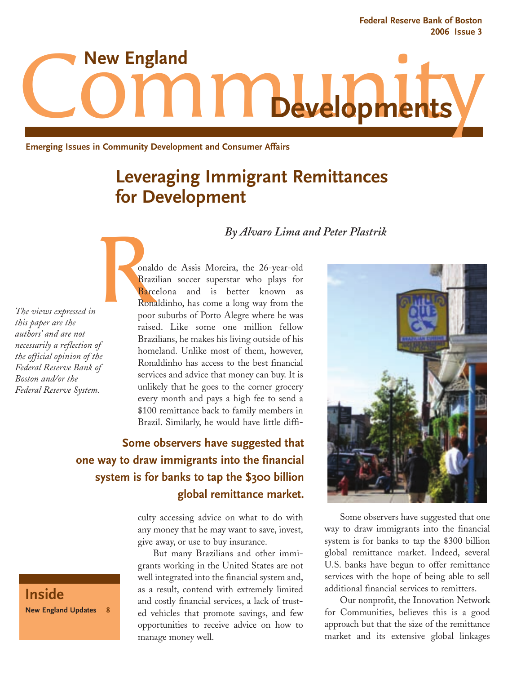**Federal Reserve Bank of Boston 2006 Issue 3**



**Emerging Issues in Community Development and Consumer Affairs**

# **Leveraging Immigrant Remittances for Development**

#### *By Alvaro Lima and Peter Plastrik*

*The views expressed in this paper are the authors' and are not necessarily a reflection of the official opinion of the Federal Reserve Bank of Boston and/or the Federal Reserve System.*

eralder de la procesa de la procesa de la procesa de la procesa de la procesa de la procesa de la procesa de la procesa de la procesa de la procesa de la procesa de la procesa de la procesa de la procesa de la procesa de l onaldo de Assis Moreira, the 26-year-old Brazilian soccer superstar who plays for Barcelona and is better known as Ronaldinho, has come a long way from the poor suburbs of Porto Alegre where he was raised. Like some one million fellow Brazilians, he makes his living outside of his homeland. Unlike most of them, however, Ronaldinho has access to the best financial services and advice that money can buy. It is unlikely that he goes to the corner grocery every month and pays a high fee to send a \$100 remittance back to family members in Brazil. Similarly, he would have little diffi-

## **Some observers have suggested that one way to draw immigrants into the financial system is for banks to tap the \$300 billion global remittance market.**

culty accessing advice on what to do with any money that he may want to save, invest, give away, or use to buy insurance.

But many Brazilians and other immigrants working in the United States are not well integrated into the financial system and, as a result, contend with extremely limited and costly financial services, a lack of trusted vehicles that promote savings, and few opportunities to receive advice on how to manage money well.



Some observers have suggested that one way to draw immigrants into the financial system is for banks to tap the \$300 billion global remittance market. Indeed, several U.S. banks have begun to offer remittance services with the hope of being able to sell additional financial services to remitters.

Our nonprofit, the Innovation Network for Communities, believes this is a good approach but that the size of the remittance market and its extensive global linkages

**Inside New England Updates 8**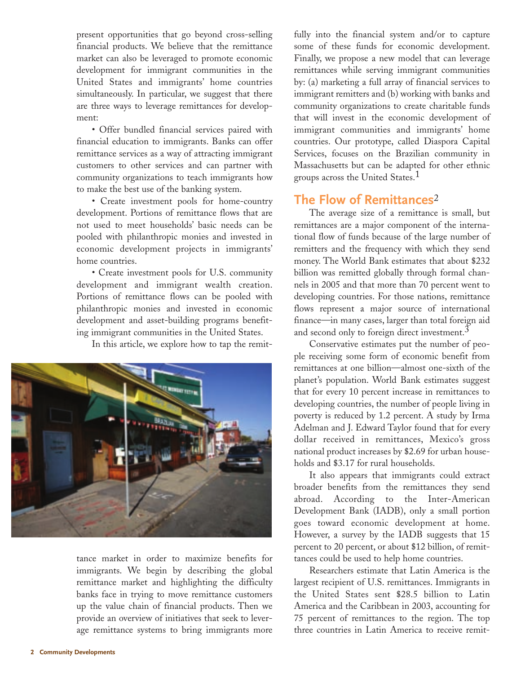present opportunities that go beyond cross-selling financial products. We believe that the remittance market can also be leveraged to promote economic development for immigrant communities in the United States and immigrants' home countries simultaneously. In particular, we suggest that there are three ways to leverage remittances for development:

• Offer bundled financial services paired with financial education to immigrants. Banks can offer remittance services as a way of attracting immigrant customers to other services and can partner with community organizations to teach immigrants how to make the best use of the banking system.

• Create investment pools for home-country development. Portions of remittance flows that are not used to meet households' basic needs can be pooled with philanthropic monies and invested in economic development projects in immigrants' home countries.

• Create investment pools for U.S. community development and immigrant wealth creation. Portions of remittance flows can be pooled with philanthropic monies and invested in economic development and asset-building programs benefiting immigrant communities in the United States.

In this article, we explore how to tap the remit-



tance market in order to maximize benefits for immigrants. We begin by describing the global remittance market and highlighting the difficulty banks face in trying to move remittance customers up the value chain of financial products. Then we provide an overview of initiatives that seek to leverage remittance systems to bring immigrants more

fully into the financial system and/or to capture some of these funds for economic development. Finally, we propose a new model that can leverage remittances while serving immigrant communities by: (a) marketing a full array of financial services to immigrant remitters and (b) working with banks and community organizations to create charitable funds that will invest in the economic development of immigrant communities and immigrants' home countries. Our prototype, called Diaspora Capital Services, focuses on the Brazilian community in Massachusetts but can be adapted for other ethnic groups across the United States.<sup>1</sup>

## **The Flow of Remittances**<sup>2</sup>

The average size of a remittance is small, but remittances are a major component of the international flow of funds because of the large number of remitters and the frequency with which they send money. The World Bank estimates that about \$232 billion was remitted globally through formal channels in 2005 and that more than 70 percent went to developing countries. For those nations, remittance flows represent a major source of international finance—in many cases, larger than total foreign aid and second only to foreign direct investment.<sup>3</sup>

Conservative estimates put the number of people receiving some form of economic benefit from remittances at one billion—almost one-sixth of the planet's population. World Bank estimates suggest that for every 10 percent increase in remittances to developing countries, the number of people living in poverty is reduced by 1.2 percent. A study by Irma Adelman and J. Edward Taylor found that for every dollar received in remittances, Mexico's gross national product increases by \$2.69 for urban households and \$3.17 for rural households.

It also appears that immigrants could extract broader benefits from the remittances they send abroad. According to the Inter-American Development Bank (IADB), only a small portion goes toward economic development at home. However, a survey by the IADB suggests that 15 percent to 20 percent, or about \$12 billion, of remittances could be used to help home countries.

Researchers estimate that Latin America is the largest recipient of U.S. remittances. Immigrants in the United States sent \$28.5 billion to Latin America and the Caribbean in 2003, accounting for 75 percent of remittances to the region. The top three countries in Latin America to receive remit-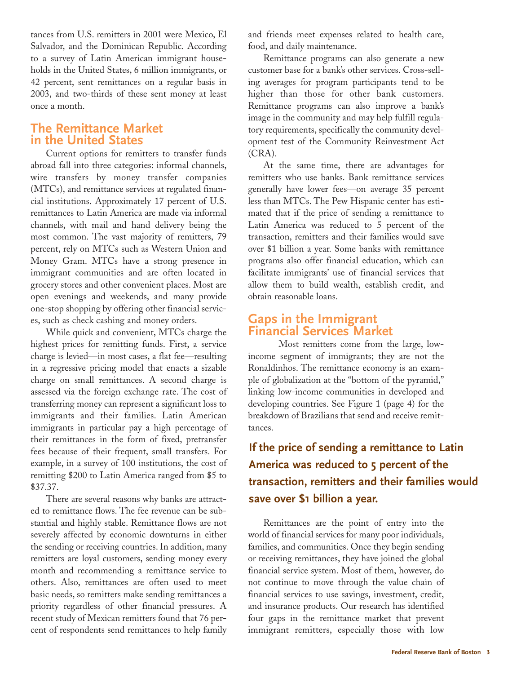tances from U.S. remitters in 2001 were Mexico, El Salvador, and the Dominican Republic. According to a survey of Latin American immigrant households in the United States, 6 million immigrants, or 42 percent, sent remittances on a regular basis in 2003, and two-thirds of these sent money at least once a month.

### **The Remittance Market in the United States**

Current options for remitters to transfer funds abroad fall into three categories: informal channels, wire transfers by money transfer companies (MTCs), and remittance services at regulated financial institutions. Approximately 17 percent of U.S. remittances to Latin America are made via informal channels, with mail and hand delivery being the most common. The vast majority of remitters, 79 percent, rely on MTCs such as Western Union and Money Gram. MTCs have a strong presence in immigrant communities and are often located in grocery stores and other convenient places. Most are open evenings and weekends, and many provide one-stop shopping by offering other financial services, such as check cashing and money orders.

While quick and convenient, MTCs charge the highest prices for remitting funds. First, a service charge is levied—in most cases, a flat fee—resulting in a regressive pricing model that enacts a sizable charge on small remittances. A second charge is assessed via the foreign exchange rate. The cost of transferring money can represent a significant loss to immigrants and their families. Latin American immigrants in particular pay a high percentage of their remittances in the form of fixed, pretransfer fees because of their frequent, small transfers. For example, in a survey of 100 institutions, the cost of remitting \$200 to Latin America ranged from \$5 to \$37.37.

There are several reasons why banks are attracted to remittance flows. The fee revenue can be substantial and highly stable. Remittance flows are not severely affected by economic downturns in either the sending or receiving countries. In addition, many remitters are loyal customers, sending money every month and recommending a remittance service to others. Also, remittances are often used to meet basic needs, so remitters make sending remittances a priority regardless of other financial pressures. A recent study of Mexican remitters found that 76 percent of respondents send remittances to help family

and friends meet expenses related to health care, food, and daily maintenance.

Remittance programs can also generate a new customer base for a bank's other services. Cross-selling averages for program participants tend to be higher than those for other bank customers. Remittance programs can also improve a bank's image in the community and may help fulfill regulatory requirements, specifically the community development test of the Community Reinvestment Act (CRA).

At the same time, there are advantages for remitters who use banks. Bank remittance services generally have lower fees—on average 35 percent less than MTCs. The Pew Hispanic center has estimated that if the price of sending a remittance to Latin America was reduced to 5 percent of the transaction, remitters and their families would save over \$1 billion a year. Some banks with remittance programs also offer financial education, which can facilitate immigrants' use of financial services that allow them to build wealth, establish credit, and obtain reasonable loans.

#### **Gaps in the Immigrant Financial Services Market**

Most remitters come from the large, lowincome segment of immigrants; they are not the Ronaldinhos. The remittance economy is an example of globalization at the "bottom of the pyramid," linking low-income communities in developed and developing countries. See Figure 1 (page 4) for the breakdown of Brazilians that send and receive remittances.

## **If the price of sending a remittance to Latin America was reduced to 5 percent of the transaction, remitters and their families would save over \$1 billion a year.**

Remittances are the point of entry into the world of financial services for many poor individuals, families, and communities. Once they begin sending or receiving remittances, they have joined the global financial service system. Most of them, however, do not continue to move through the value chain of financial services to use savings, investment, credit, and insurance products. Our research has identified four gaps in the remittance market that prevent immigrant remitters, especially those with low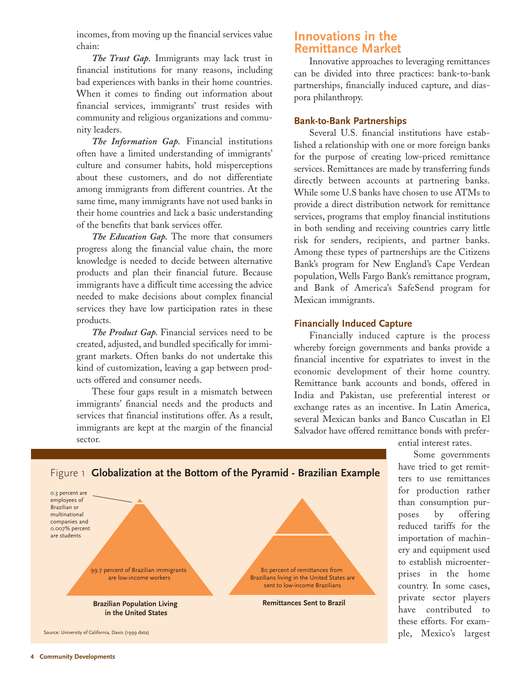incomes, from moving up the financial services value chain:

*The Trust Gap.* Immigrants may lack trust in financial institutions for many reasons, including bad experiences with banks in their home countries. When it comes to finding out information about financial services, immigrants' trust resides with community and religious organizations and community leaders.

*The Information Gap.* Financial institutions often have a limited understanding of immigrants' culture and consumer habits, hold misperceptions about these customers, and do not differentiate among immigrants from different countries. At the same time, many immigrants have not used banks in their home countries and lack a basic understanding of the benefits that bank services offer.

*The Education Gap.* The more that consumers progress along the financial value chain, the more knowledge is needed to decide between alternative products and plan their financial future. Because immigrants have a difficult time accessing the advice needed to make decisions about complex financial services they have low participation rates in these products.

*The Product Gap.* Financial services need to be created, adjusted, and bundled specifically for immigrant markets. Often banks do not undertake this kind of customization, leaving a gap between products offered and consumer needs.

These four gaps result in a mismatch between immigrants' financial needs and the products and services that financial institutions offer. As a result, immigrants are kept at the margin of the financial sector.

### **Innovations in the Remittance Market**

Innovative approaches to leveraging remittances can be divided into three practices: bank-to-bank partnerships, financially induced capture, and diaspora philanthropy.

#### **Bank-to-Bank Partnerships**

Several U.S. financial institutions have established a relationship with one or more foreign banks for the purpose of creating low-priced remittance services. Remittances are made by transferring funds directly between accounts at partnering banks. While some U.S banks have chosen to use ATMs to provide a direct distribution network for remittance services, programs that employ financial institutions in both sending and receiving countries carry little risk for senders, recipients, and partner banks. Among these types of partnerships are the Citizens Bank's program for New England's Cape Verdean population, Wells Fargo Bank's remittance program, and Bank of America's SafeSend program for Mexican immigrants.

#### **Financially Induced Capture**

80 percent of remittances from Brazilians living in the United States are sent to low-income Brazilians

**Remittances Sent to Brazil**

Financially induced capture is the process whereby foreign governments and banks provide a financial incentive for expatriates to invest in the economic development of their home country. Remittance bank accounts and bonds, offered in India and Pakistan, use preferential interest or exchange rates as an incentive. In Latin America, several Mexican banks and Banco Cuscatlan in El Salvador have offered remittance bonds with prefer-

ential interest rates.

Some governments have tried to get remitters to use remittances for production rather than consumption purposes by offering reduced tariffs for the importation of machinery and equipment used to establish microenterprises in the home country. In some cases, private sector players have contributed to these efforts. For example, Mexico's largest

#### Figure 1 **Globalization at the Bottom of the Pyramid - Brazilian Example**

99.7 percent of Brazilian immigrants are low-income workers

**Brazilian Population Living in the United States**

Source: University of California, Davis (1999 data)



0.3 percent are employees of Brazilian or multinational companies and 0.007% percent are students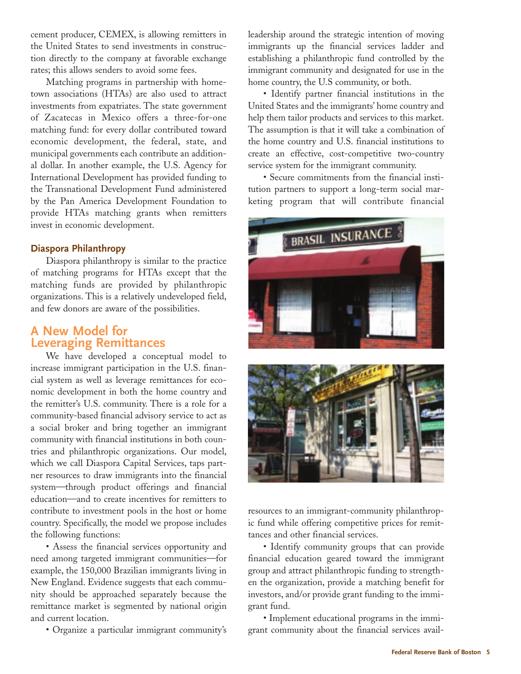cement producer, CEMEX, is allowing remitters in the United States to send investments in construction directly to the company at favorable exchange rates; this allows senders to avoid some fees.

Matching programs in partnership with hometown associations (HTAs) are also used to attract investments from expatriates. The state government of Zacatecas in Mexico offers a three-for-one matching fund: for every dollar contributed toward economic development, the federal, state, and municipal governments each contribute an additional dollar. In another example, the U.S. Agency for International Development has provided funding to the Transnational Development Fund administered by the Pan America Development Foundation to provide HTAs matching grants when remitters invest in economic development.

#### **Diaspora Philanthropy**

Diaspora philanthropy is similar to the practice of matching programs for HTAs except that the matching funds are provided by philanthropic organizations. This is a relatively undeveloped field, and few donors are aware of the possibilities.

## **A New Model for Leveraging Remittances**

We have developed a conceptual model to increase immigrant participation in the U.S. financial system as well as leverage remittances for economic development in both the home country and the remitter's U.S. community. There is a role for a community-based financial advisory service to act as a social broker and bring together an immigrant community with financial institutions in both countries and philanthropic organizations. Our model, which we call Diaspora Capital Services, taps partner resources to draw immigrants into the financial system—through product offerings and financial education—and to create incentives for remitters to contribute to investment pools in the host or home country. Specifically, the model we propose includes the following functions:

• Assess the financial services opportunity and need among targeted immigrant communities—for example, the 150,000 Brazilian immigrants living in New England. Evidence suggests that each community should be approached separately because the remittance market is segmented by national origin and current location.

• Organize a particular immigrant community's

leadership around the strategic intention of moving immigrants up the financial services ladder and establishing a philanthropic fund controlled by the immigrant community and designated for use in the home country, the U.S community, or both.

• Identify partner financial institutions in the United States and the immigrants' home country and help them tailor products and services to this market. The assumption is that it will take a combination of the home country and U.S. financial institutions to create an effective, cost-competitive two-country service system for the immigrant community.

• Secure commitments from the financial institution partners to support a long-term social marketing program that will contribute financial





resources to an immigrant-community philanthropic fund while offering competitive prices for remittances and other financial services.

• Identify community groups that can provide financial education geared toward the immigrant group and attract philanthropic funding to strengthen the organization, provide a matching benefit for investors, and/or provide grant funding to the immigrant fund.

• Implement educational programs in the immigrant community about the financial services avail-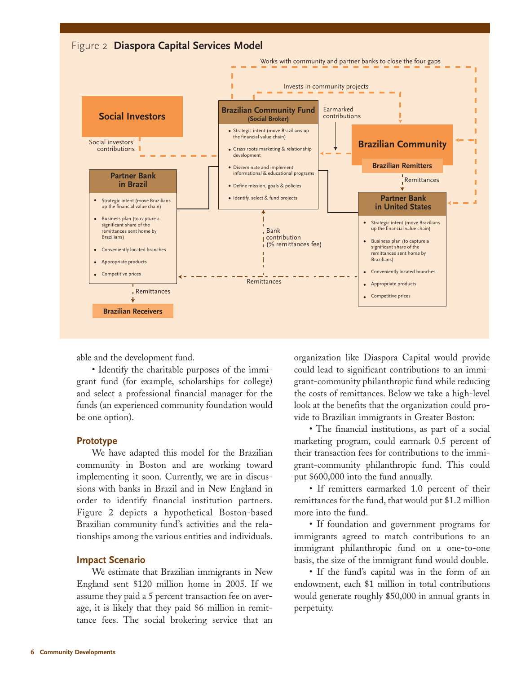

able and the development fund.

• Identify the charitable purposes of the immigrant fund (for example, scholarships for college) and select a professional financial manager for the funds (an experienced community foundation would be one option).

#### **Prototype**

We have adapted this model for the Brazilian community in Boston and are working toward implementing it soon. Currently, we are in discussions with banks in Brazil and in New England in order to identify financial institution partners. Figure 2 depicts a hypothetical Boston-based Brazilian community fund's activities and the relationships among the various entities and individuals.

#### **Impact Scenario**

We estimate that Brazilian immigrants in New England sent \$120 million home in 2005. If we assume they paid a 5 percent transaction fee on average, it is likely that they paid \$6 million in remittance fees. The social brokering service that an organization like Diaspora Capital would provide could lead to significant contributions to an immigrant-community philanthropic fund while reducing the costs of remittances. Below we take a high-level look at the benefits that the organization could provide to Brazilian immigrants in Greater Boston:

• The financial institutions, as part of a social marketing program, could earmark 0.5 percent of their transaction fees for contributions to the immigrant-community philanthropic fund. This could put \$600,000 into the fund annually.

• If remitters earmarked 1.0 percent of their remittances for the fund, that would put \$1.2 million more into the fund.

• If foundation and government programs for immigrants agreed to match contributions to an immigrant philanthropic fund on a one-to-one basis, the size of the immigrant fund would double.

• If the fund's capital was in the form of an endowment, each \$1 million in total contributions would generate roughly \$50,000 in annual grants in perpetuity.